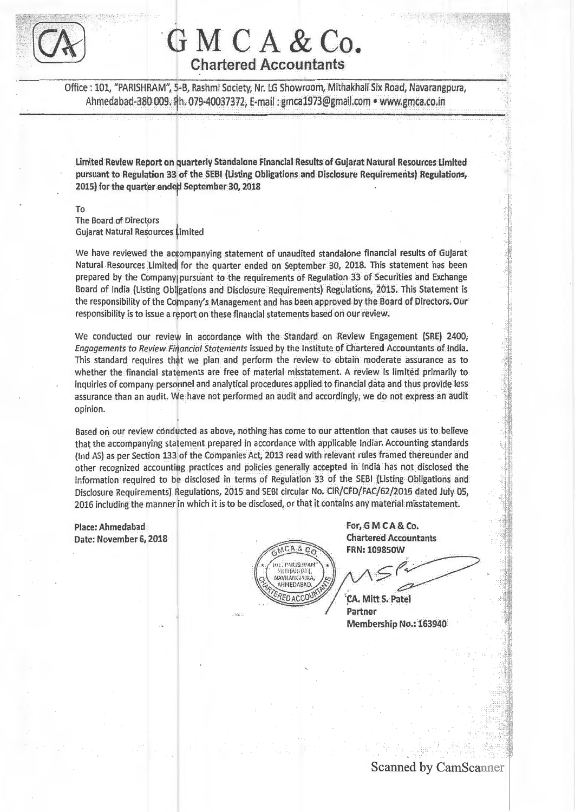$\lceil$   $\lceil$   $\lceil$   $\rceil$  $\sqrt{N}$ 

# **·ciMCA&Co. Chartered Accountants**

Office : 101, "PARISHRAM", 5-B, Rashmi Society, Nr. LG Showroom, Mithakhali Six Road, Navarangpura, Ahmedabad-380 009. Ph. 079·40037372, E·mail : gmca1973@gmaiLcom • www.gmca.co.in

Limited Review Report on quarterly Standalone Financial Results of Gujarat Natural Resources Limited pursuant to Regulation 33 of the SEBI (Listing Obligations and Disclosure Requirements) Regulations, 2015} for the quarter ended September 30, 2018

To The Board of Directors Gujarat Natural Resources Limited

We have reviewed the accompanying statement of unaudited standalone financial results of Gujarat Natural Resources Limited for the quarter ended on September 30, 2018. This statement has been prepared by the Company pursuant to the requirements of Regulation 33 of Securities and Exchange Board of India (Listing Obligations and Disclosure Requirements) Regulations, 2015. This Statement is the responsibility of the Company's Management and has been approved by the Board of Directors. Our responsibility is to issue a report on these financial statements based on our review.

We conducted our review in accordance with the Standard on Review Engagement (SRE) 2400, Engagements to Review Financial Statements issued by the Institute of Chartered Accountants of India. This standard requires that we plan and perform the review to obtain moderate assurance as to whether the financial statements are free of material misstatement. A review is limited primarily to inquiries of company personnel and analytical procedures applied to financial data and thus provide less assurance than an audit. We have not performed an audit and accordingly, we do not express an audit opinion.

Based on our review conducted as above, nothing has come to our attention that causes us to believe that the accompanying statement prepared in accordance with applicable Indian Accounting standards (Ind AS) as per Section 133 of the Companies Act, 2013 read with relevant rules framed thereunder and other recognized accounting practices and policies generally accepted in India has not disclosed the information required to be disclosed in terms of Regulation 33 of the SEBI (Listing Obligations and Disclosure Requirements} Hegulations, 2015 and SEBI circular No. CIR/CFD/FAC/62/2016 dated July OS, 2016 including the manner in which it is to be disclosed, or that it contains any material misstatement.

Place: Ahmedabad Date: November 6, 2018



For, GM CA & Co. **Chartered Accountants FRN: 109850W** 

**INSTEAD** l i

**CA. Mitt S. Patel** Partner Membership No.: 163940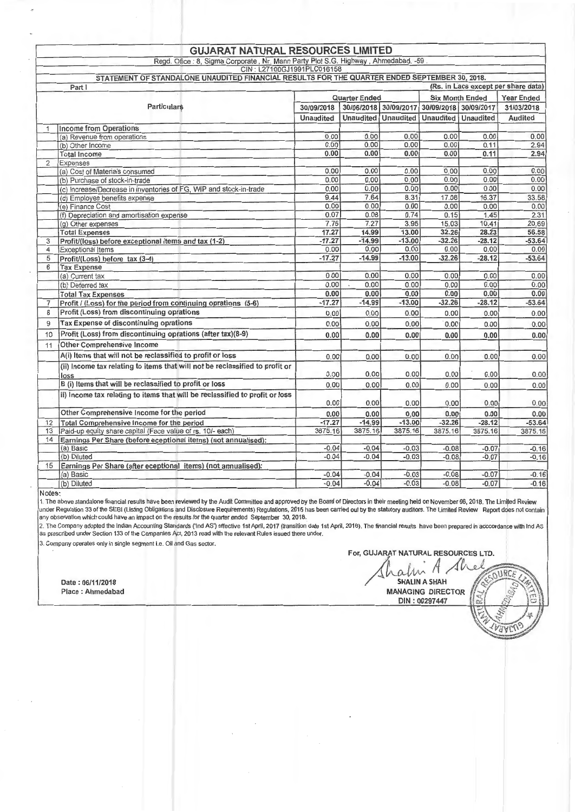|                    | <b>GUJARAT NATURAL RESOURCES LIMITED</b>                                                      |                      |                  |                        |                       |                   |                                     |
|--------------------|-----------------------------------------------------------------------------------------------|----------------------|------------------|------------------------|-----------------------|-------------------|-------------------------------------|
|                    | Regd. Ofice: 8, Sigma Corporate, Nr. Mann Party Plot S.G. Highway, Ahmedabad. -59             |                      |                  |                        |                       |                   |                                     |
|                    | CIN: L27100GJ1991PLC016158                                                                    |                      |                  |                        |                       |                   |                                     |
|                    | STATEMENT OF STANDALONE UNAUDITED FINANCIAL RESULTS FOR THE QUARTER ENDED SEPTEMBER 30, 2018. |                      |                  |                        |                       |                   |                                     |
|                    | Part I                                                                                        |                      |                  |                        |                       |                   | (Rs. in Lacs except per share data) |
| <b>Particulars</b> |                                                                                               | <b>Quarter Ended</b> |                  | <b>Six Month Ended</b> |                       | <b>Year Ended</b> |                                     |
|                    |                                                                                               | 30/09/2018           |                  | 30/06/2018 30/09/2017  | 30/09/2018 30/09/2017 |                   | 31/03/2018                          |
|                    |                                                                                               |                      | <b>Unaudited</b> | <b>Unaudited</b>       | <b>Unaudited</b>      | <b>Unaudited</b>  | <b>Audited</b>                      |
|                    | <b>Income from Operations</b>                                                                 |                      |                  |                        |                       |                   |                                     |
|                    | (a) Revenue from operations                                                                   | 0.00                 | 0.00             | 0.00                   | 0.00                  | 0.00              | 0.00                                |
|                    | (b) Other Income                                                                              | 0.00                 | 0.00             | 0.00                   | 0.00                  | 0.11              | 2.94                                |
|                    | <b>Total Income</b>                                                                           | 0.00                 | 0.00             | 0.00                   | 0.00                  | 0.11              | 2.94                                |
| $\overline{2}$     | Expenses                                                                                      |                      |                  |                        |                       |                   |                                     |
|                    | (a) Cost of Materials consumed                                                                | 0.00                 | 0.00             | 0.00                   | 0.00                  | 0.00              | 0.00                                |
|                    | (b) Purchase of stock-in-trade                                                                | 0.00                 | 0.00             | 0.00                   | 0.00                  | 0.00              | 0.00                                |
|                    | (c) Increase/Decrease in inventories of FG, WIP and stock-in-trade                            | 0.00                 | 0.00             | 0.00                   | 0.00                  | 0.00              | 0.00                                |
|                    | (d) Employee benefits expense                                                                 | 9.44                 | 7.64             | 8.31                   | 17.08                 | 16.37             | 33.58                               |
|                    | (e) Finance Cost                                                                              | 0.00                 | 0.00             | 0.00                   | 0.00                  | 0.00              | 0.00                                |
|                    | (f) Depreciation and amortisation expense                                                     | 0.07                 | 0.08             | 0.74                   | 0.15                  | 1.45              | 2.31                                |
|                    | (g) Other expenses                                                                            | 7.76                 | 7.27             | 3.95                   | 15.03                 | 10.41             | 20.69                               |
|                    | <b>Total Expenses</b>                                                                         | 17.27                | 14.99            | 13.00                  | 32.26                 | 28.23             | 56.58                               |
| 3                  | Profit/(loss) before exceptional items and tax (1-2)                                          | $-17.27$             | $-14.99$         | $-13.00$               | $-32.26$              | $-28.12$          | $-53.64$                            |
| 4                  | <b>Exceptional Items</b>                                                                      | 0.00                 | 0.00             | 0.00                   | 0.00                  | 0.00              | 0.00                                |
| 5                  | Profit/(Loss) before tax (3-4)                                                                | $-17.27$             | $-14.99$         | $-13.00$               | $-32.26$              | $-28.12$          | $-53.64$                            |
| 6                  | <b>Tax Expense</b>                                                                            | 0.00                 | 0.00             |                        |                       | 0.00              |                                     |
|                    | (a) Current tax                                                                               | 0.00                 | 0.00             | 0.00<br>0.00           | 0.00<br>0.00          | 0.00              | 0.00<br>0.00                        |
|                    | (b) Deferred tax                                                                              | 0.00                 | 0.00             | 0.00                   | 0.00                  | 0.00              | 0.00                                |
|                    | <b>Total Tax Expenses</b>                                                                     | $-17.27$             | $-14.99$         | $-13.00$               | $-32.26$              | $-28.12$          |                                     |
| 7                  | Profit / (Loss) for the period from continuing oprations (5-6)                                |                      |                  |                        |                       |                   | $-53.64$                            |
| 8                  | Profit (Loss) from discontinuing oprations                                                    | 0.00                 | 0.00             | 0.00                   | 0.00                  | 0.00              | 0.00                                |
| 9                  | <b>Tax Expense of discontinuing oprations</b>                                                 | 0.00                 | 0.00             | 0.00                   | 0.00                  | 0.00              | 0.00                                |
| 10                 | Profit (Loss) from discontinuing oprations (after tax)(8-9)                                   | 0.00                 | 0.00             | 0.00                   | 0.00                  | 0.00              | 0.00                                |
| 11                 | <b>Other Comprehensive Income</b>                                                             |                      |                  |                        |                       |                   |                                     |
|                    | A(i) Items that will not be reclassified to profit or loss                                    | 0.00                 | 0.00             | 0.00                   | 0.00                  | 0.00              | 0.00                                |
|                    | (ii) Income tax relating to items that will not be reclassified to profit or                  |                      |                  |                        |                       |                   |                                     |
|                    | loss                                                                                          | 0.00                 | 0.00             | 0.00                   | 0.00                  | 0.00              | 0.00                                |
|                    | B (i) Items that will be reclassified to profit or loss                                       | 0.00                 | 0.00             | 0.00                   | 0.00                  | 0,00              | 0.00                                |
|                    | ii) Income tax relating to items that will be reclassified to profit or loss                  | 0.00                 | 0.00             | 0.00                   | 0.00                  | 0.00              | 0.00                                |
|                    | Other Comprehensive Income for the period                                                     | 0.00                 | 0.00             | 0.00                   | 0.00                  | 0.00              | 0.00                                |
| 12                 | Total Comprehensive Income for the period                                                     | $-17.27$             | $-14.99$         | $-13.00$               | $-32.26$              | $-28.12$          | $-53.64$                            |
| 13                 | Paid-up equity share capital (Face value of rs. 10/- each)                                    | 3875.16              | 3875.16          | 3875.16                | 3875.16               | 3875.16           | 3875.16                             |
| 14                 | Earnings Per Share (before eceptional items) (not annualised):                                |                      |                  |                        |                       |                   |                                     |
|                    | (a) Basic                                                                                     | $-0.04$              | $-0.04$          | $-0.03$                | $-0.08$               | $-0.07$           | $-0.16$                             |
|                    | (b) Diluted                                                                                   | $-0.04$              | $-0.04$          | $-0.03$                | $-0.08$               | $-0.07$           | $-0.16$                             |
| 15                 | Earnings Per Share (after eceptional items) (not annualised):                                 |                      |                  |                        |                       |                   |                                     |
|                    | (a) Basic                                                                                     | $-0.04$              | $-0.04$          | $-0.03$                | $-0.08$               | $-0.07$           | $-0.16$                             |
|                    | (b) Diluted                                                                                   | $-0.04$              | $-0.04$          | $-0.03$                | $-0.08$               | $-0.07$           | $-0.16$                             |

#### Notes:

1. The above standalone financial results have been reviewed by the Audit Committee and approved by the Board of Directors in their meeting held on November 06, 2018. The Limited Review under Regulation 33 of the SEBI (Listing Obligations and Disclosure Requirements) Regulations, 2015 has been carried out by the statutory auditors. The Limited Review Report does not contain any observation which could have an impact on the results for the quarter ended September 30, 2018.

2. The Company adopted the Indian Accounting Standards ('Ind AS') effective 1st April, 2017 (transition date 1st April, 2016). The financial results have been prepared in accoordance with Ind AS<br>as prescribed under Section

3. Company operates only in single segment i.e. Oil and Gas sector.

For, GUJARAT NATURAL RESOURCES LTD.

Date: 06/11/2018 Place: Ahmedabad

alm  $\sqrt{ }$ **SHALIN A SHAH MANAGING DIRECTOR** DIN: 00297447

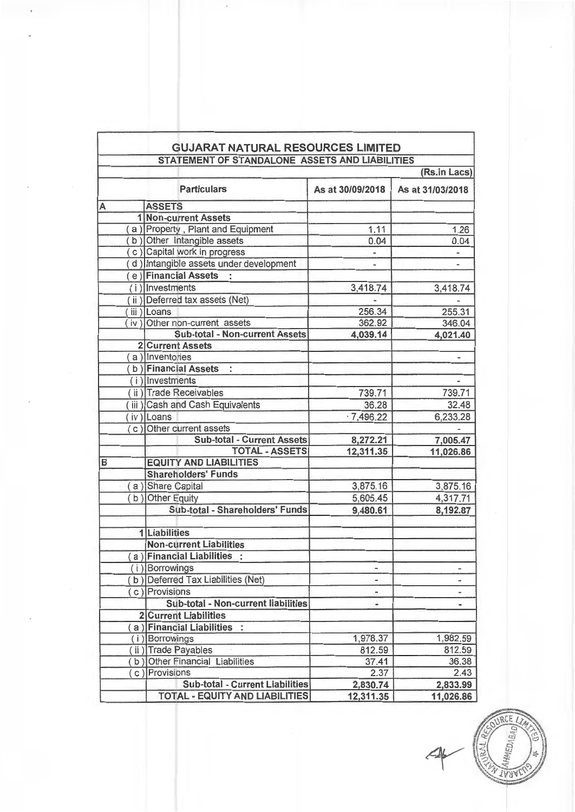|   | <b>GUJARAT NATURAL RESOURCES LIMITED</b><br>STATEMENT OF STANDALONE ASSETS AND LIABILITIES |                          |                          |  |
|---|--------------------------------------------------------------------------------------------|--------------------------|--------------------------|--|
|   |                                                                                            |                          | (Rs.in Lacs)             |  |
|   | <b>Particulars</b>                                                                         | As at 30/09/2018         | As at 31/03/2018         |  |
| А | <b>ASSETS</b>                                                                              |                          |                          |  |
|   | 1 Non-current Assets                                                                       |                          |                          |  |
|   | a) Property, Plant and Equipment                                                           | 1.11                     | 1.26                     |  |
|   | b) Other Intangible assets                                                                 | 0.04                     | 0.04                     |  |
|   | c) Capital work in progress                                                                |                          |                          |  |
|   | d) Intangible assets under development                                                     |                          |                          |  |
|   | e) Financial Assets                                                                        |                          |                          |  |
|   | $(i)$ Investments                                                                          | 3,418.74                 | 3,418.74                 |  |
|   | ii) Deferred tax assets (Net)                                                              |                          |                          |  |
|   | iii) Loans                                                                                 | 256.34                   | 255.31                   |  |
|   | (iv) Other non-current assets                                                              | 362.92                   | 346.04                   |  |
|   | Sub-total - Non-current Assets                                                             | 4,039.14                 | 4,021.40                 |  |
|   | <b>2 Current Assets</b>                                                                    |                          |                          |  |
|   | a) Inventories                                                                             |                          |                          |  |
|   | b) Financial Assets<br>$\mathcal{L}$                                                       |                          |                          |  |
|   | $(i)$ Investments                                                                          |                          |                          |  |
|   | ii) Trade Receivables                                                                      | 739.71                   | 739.71                   |  |
|   | iii) Cash and Cash Equivalents                                                             | 36.28                    | 32.48                    |  |
|   | iv) Loans                                                                                  | .7,496.22                | 6,233.28                 |  |
|   | (c) Other current assets                                                                   |                          |                          |  |
|   | <b>Sub-total - Current Assets</b>                                                          | 8,272.21                 | 7,005.47                 |  |
|   | <b>TOTAL - ASSETS</b>                                                                      | 12,311.35                | 11,026.86                |  |
| в | <b>EQUITY AND LIABILITIES</b>                                                              |                          |                          |  |
|   | <b>Shareholders' Funds</b>                                                                 |                          |                          |  |
|   | (a) Share Capital                                                                          | 3,875.16                 | 3,875.16                 |  |
|   | (b) Other Equity                                                                           | 5,605.45                 | 4,317.71                 |  |
|   | Sub-total - Shareholders' Funds                                                            | 9,480.61                 | 8,192.87                 |  |
|   |                                                                                            |                          |                          |  |
|   | 1 Liabilities                                                                              |                          |                          |  |
|   | <b>Non-current Liabilities</b>                                                             |                          |                          |  |
|   | a) Financial Liabilities :                                                                 |                          |                          |  |
|   | (i) Borrowings                                                                             |                          |                          |  |
|   | (b) Deferred Tax Liabilities (Net)                                                         |                          | $\overline{\phantom{a}}$ |  |
|   | (c) Provisions                                                                             | $\overline{\phantom{0}}$ | m                        |  |
|   | Sub-total - Non-current liabilities                                                        | -                        |                          |  |
|   |                                                                                            | -                        |                          |  |
|   | <b>2 Current Liabilities</b>                                                               |                          |                          |  |
|   | a) Financial Liabilities :                                                                 |                          |                          |  |
|   | (i) Borrowings                                                                             | 1,978.37                 | 1,982.59                 |  |
|   | ii) Trade Payables                                                                         | 812.59                   | 812.59                   |  |
|   | b) Other Financial Liabilities<br>(c) Provisions                                           | 37.41                    | 36.38                    |  |
|   |                                                                                            | 2.37                     | 2.43                     |  |
|   | <b>Sub-total - Current Liabilities</b><br><b>TOTAL - EQUITY AND LIABILITIES</b>            | 2,830.74                 | 2,833.99                 |  |
|   |                                                                                            | 12,311.35                | 11,026.86                |  |

URCE  $D_A \cap A$  $IV:$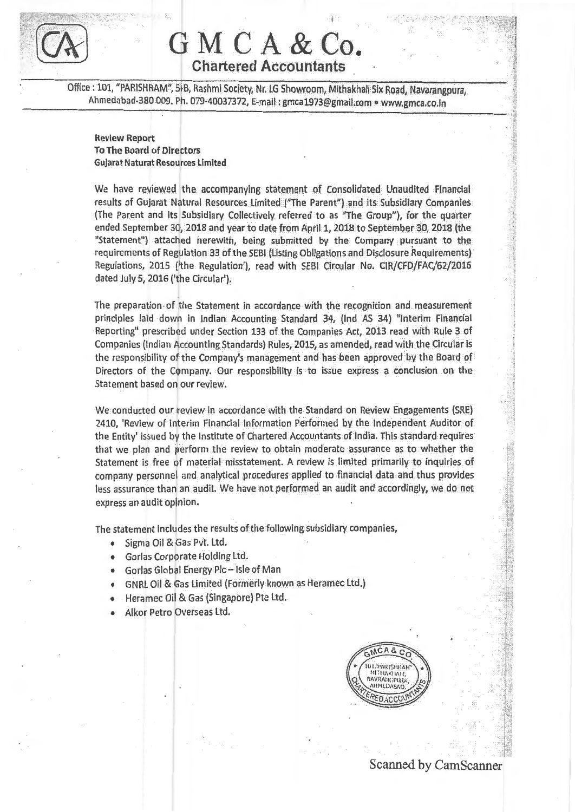

## GMCA & Co. Chartered Accountants

Office : 101, "PARISHRAM", 51B, Rashmi Society, Nr. LG Showroom, Mithakhali Six Road, Navarangpura, Ahmedabad-380 009. Ph. 079-40037372, E-mail : gmca1973@gmail.com • www.gmca.co.in

### Review Report **To The Board of Directors** Gujarat Naturat Resources Limited

We have reviewed the accompanying statement of Consolidated Unaudited Financial results of Gujarat Natural Resources Limited ("The Parent") and its Subsidiary Companies (The Parent and its Subsidiary Collectively referred to as "The Group"), for the quarter ended September 30, 2018 and year to date from April 1, 2018 to September 30, 2018 (the "Statement") attached herewith, being submitted by the Company pursuant to the requirements of Regulation 33 of the SEBI (Listing Obligations and Disclosure Requirements) Regulations, 2015 ('the Regulation'), read with SEBI Circular No. CIR/CFD/FAC/62/2016 dated July 5, 2016 ('the Circular').

The preparation· of the Statement in accordance with the recognition and measurement principles laid down in Indian Accounting Standard 34, (Ind AS 34) "Interim Financial Reporting" prescribed under Section 133 of the Companies Act, 2013 read with Rule 3 of Companies {Indian Accounting Standards) Rules, 2015, as amended, read with theCircular is the responsibility of the Company's management and has been approved by the Board of Directors of the Company. Our responsibility is to issue express a conclusion on the Statement based on our review.

We conducted our review in accordance with the Standard on Review Engagements (SRE) 2410, 'Review of Interim Financial Information Performed by the Independent Auditor of the Entity' issued by the Institute of Chartered Accountants of India. This standard requires that we plan and perform the review to obtain moderate assurance as to whether the Statement is free of material misstatement. A review is limited primarily to inquiries of company personnel and analytical procedures applied to financial data and thus provides less assurance than an audit. We have not performed an audit and accordingly, we do not express an audit opinion.

The statement includes the results of the following subsidiary companies,

- Sigma Oil & Gas Pvt. Ltd.
- Gorlas Corporate Holding Ltd.
- Gorlas Global Energy Pie- Isle of Man
- GNRL Oil & Gas Limited (Formerly known as Heramec Ltd.)
- Heramec Oil & Gas (Singapore) Pte Ltd.
- Alkor Petro Overseas Ltd.



## Scanned by CamScanner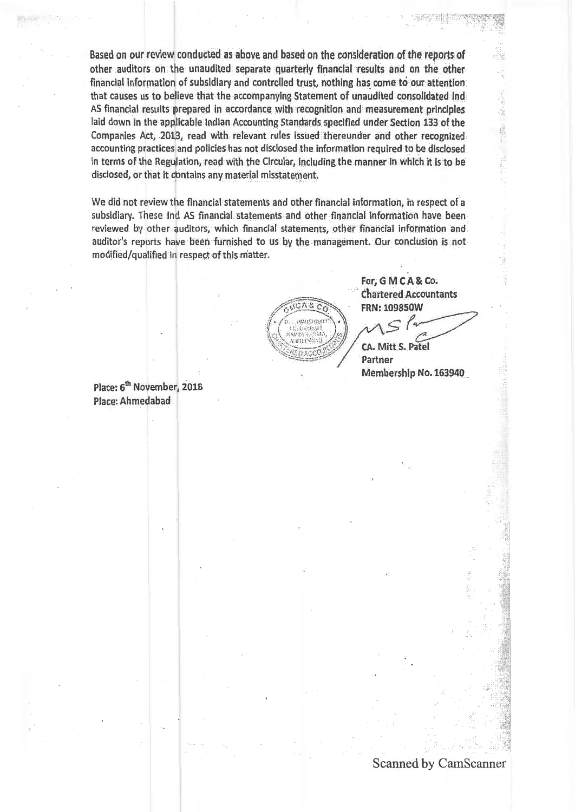Based on our review conducted as above and based on the consideration of the reports of other auditors on the unaudited separate quarterly financial results and on the other financial Information of subsidiary and controlled trust, nothing has. come to our attention that causes us to believe that the accompanying Statement of unaudited consolidated Ind AS financial results prepared in accordance with recognition and measurement principles laid down In the applicable Indian Accounting Standards specified under Section 133 of the Companies Act, .2013, read with relevant rules Issued thereunder and other recognized accounting practices and policies has not disclosed the information required to be disclosed in terms of the Regulation, read with the Circular, including the manner In which It Is to be disclosed, or that it contains any material misstatement.

We did not review the financial statements and other financial information, in respect of a subsidiary. These Ind AS financial statements and other financial information have been reviewed by other auditors, which financial statements, other financial information and auditor's reports have been furnished to us by the management. Our conclusion is not modified/qualified in respect of this matter.



For, G M C A & Co. . chartered Accountants FRN: 1098SOW

 $s<sup>1</sup>$ CA. Mitt S. Patel

Partner Membership No. 163940 .

Place: 6<sup>th</sup> November, 2018 Place: Ahmedabad

### Scanned by CamScanner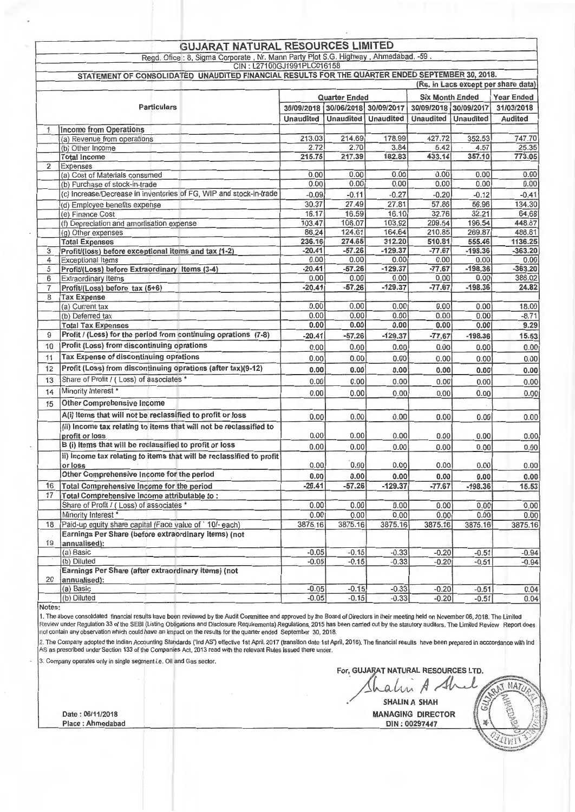#### **GUJARAT NATURAL RESOURCES LIMITED**

Regd. Ofice : 8, Sigma Corporate , Nr. Mann Party Plot S.G. Highway , Ahmedabad. -59 .

GIN: L27100GJ1991PLC016158 STATEMENT OF CONSOLIDATED UNAUDITED FINANCIAL RESULTS FOR THE QUARTER ENDED SEPTEMBER 30, 2018. (Rs. in Lacs except per share data) Quarter Ended Six Month Ended Year Ended Particulars 30/09/2018 30/06/2018 30/09/2017 30/09/2018 30/09/2017 31/03/2018 Unaudited Unaudited Unaudited Unaudited Unaudited Audited **Income from Operations** (a) Revenue from operations <br>
(b) Other Income<br>
(b) Other Income<br>
(c) Other Income<br>
(c) Other Income<br>
(c) Other Income<br>
(c) Other Income<br>
(c) Other Income<br>
(c) Other Income<br>
(c) Other Income<br>
(c) Other Income<br>
(c) Other In lb) Other Income 25.35 2.72 2.70 2.70 3.84 5.42 4.57 25.35 Total Income 215.75 217.39 182.83 433.14 357.10 773.05 2 Expenses **International Expenses** l(a) Cost of Materials consumed I 0.00 0.00 0.00 0.00 0.00 0.00 I (b) Purchase of stock-in-trade 0.00 0.00 0.00 0.00 0.00 0.00 (c) Increase/Decrease in inventories of FG, WIP and stock-in-trade  $\begin{array}{|l}\n -0.09 \\
 -0.09 \\
 \hline\n 30.37\n \end{array}$   $\begin{array}{|l}\n -0.11 \\
 -0.27\n \end{array}$   $\begin{array}{|l}\n -0.20 \\
 -0.12\n \end{array}$   $\begin{array}{|l}\n -0.41 \\
 -0.41\n \end{array}$   $\begin{array}{|l}\n -0.27 \\
 \hline\n 57.86\n$ d) Employee benefits expense 30.37 27.49 27.81 57.86 56.96 134.30<br>(e) Finance Cost 16.17 16.59 16.10 32.76 32.21 64.68 (e) Finance Cost 16.17 16.59 16.10 32.76 32.21 64.68<br>(f) Depreciation and amortisation expense 103.47 106.07 103.92 209.54 196.54 448.87 (f) Depreciation and amortisation expense  $\begin{array}{|l|c|c|c|c|c|c|c|}\n\hline\n\text{(a) Other expenses} & & & & 103.47 & 106.07 & 103.92 \\
\hline\n\text{(c) Other expenses} & & & 86.24 & 124.61 & 164.64 \\
\hline\n\end{array}$ 124.61 124.61 124.64 210.85 269.87 488.81 124.64 210.85 269.87 488.81 164.64 210.85 269.87 488.81 136.25 Total Expenses 236.16 274.65 312.20 510.81 555.46 1136.25<br>Profit/loss hefore exceptional items and tax (1.2) 20.41 -57.26 -129.37 -77.67 -198.36 -363.20 3 Profit/(loss) before exceptional items and tax (1-2)  $\begin{array}{|l|c|c|c|c|c|c|c|c|c|c|c|} \hline 3 & -20.41 & -57.26 & -129.37 & -77.67 & -198.36 & -363.20 \\ \hline 4 & \text{Exceptional items} & 0.00 & 0.00 & 0.00 & 0.00 & 0.00 & 0.00 \\\hline \end{array}$ 4 Exceotional Items 0.00 0.00 0.00 0.00 0.00 0.00 5 Profit/(Loss) before Extraordinary Items (3-4) -20.41 -57.26 -129.37 -77.67 -198.36 -363.20<br>6 Extraordinary Items - 0.00 - 0.00 - 0.00 - 0.00 - 0.00 - 0.00 - 0.00 - 0.00 - 388.02 6 Extraordinary Items 0.00 0.00 0.00 0.00 0.00 388.02<br>7 Profit/(Loss) before tax (5+6) 388.02<br>7 Profit/(Loss) before tax (5+6) Profit/(Loss) before tax (5+6) 8 Tax Expense<br>(a) Current tax (a) Current tax I 0.00 0.00 0.00 0.00 0.00 18.00 (b) Deferred tax **I** and the contract tax **I** and the contract of the contract of the contract of the contract of the contract of the contract of the contract of the contract of the contract of the contract of the contract Total Tax Expenses 6.00 0.00 0.00 0.00 0.00 0.00 0.00 9.29 9 Profit / (Loss) for the period from continuing oprations (7-8) -20.41 -57.26 -129.37 -77.67 -198.36 15.53 10 Profit (Loss) from discontinuing oprations  $\begin{bmatrix} 0.00 \\ 0.00 \end{bmatrix}$  0.00 0.00 0.00 0.00 0.00 0.00 0.00 11 Tax Expense of discontinuing oprations 0.00 0.00 0.00 0.00 0.00 0.00 12 Profit (Loss) from discontinuing oprations (after tax)(9-12) 0.00 0.00 0.00 0.00 0.00 0.00 0.00 13 Share of Profit/ ( Loss) of associates • 0.00 0.00 0.00 0.00 0.00 0.00 14 Minority Interest • 0.00 0.00 0.00 0.00 0.00 0.00 15 Other Comprehensive Income A(i) Items that will not be reclassified to profit or loss 0.00 0.00 0.00 0.00 0.00 0.00 (ii) Income tax relating to items that will not be reclassified to I orofit or loss 0.00 0.00 0.00 0.00 0.00 0.00 B (i) Items that will be reclassified to profit or loss 0.00 0.00 0.00 0.00 0.00 0.00 ii) Income tax relating to items that will be reclassified to profit or loss 0.00 0.00 0.00 0.00 0.00 0.00 Other Comprehensive Income for the period 0.00 0.00 0.00 0.00 0.00 0.00 16 Total Comprehensive Income for the period -20.41 -57.26 -129.37 -77.67 -198.36 15.53 17 Total Comprehensive Income attributable to : Share of Profit I ( Loss) of associateis • 0.00 0.00 0.00 0.00 0.00 0.00 Minority Interest \* 0.00 0.00 0.00 0.00 0.00 0.00 18 Paid-up equity share capital (Face value of· 10/- each) 3875.16 3875.16 3875.16 3875.16 3875.16 3875.16 Earnings Per Share (before extraordinary items) (not 19 annualised): l(a) Basic -0.05 -0.15 -0.33 -0.20 -0.51 -0.94 let b Diluted to the contract of the contract of the contract of the contract of the contract of the contract of the contract of the contract of the contract of the contract of the contract of the contract of the contract Earnings Per Share (after extraordinary items) (not  $\frac{20}{(a) \text{ Basic}}$ i(a) Basic -0.05 -0.15 -0.33 -0.20 -0.51 0.04 l(b) Diluted -0.05 -0.15 -0.33 -0.20 -0.51 0.04

Notes:

1. The above consolidated financial results have been reviewed by the Audit Committee and approved by the Board of Directors in their meeting held on November 06, 2018. The Limited Review under Regulation 33 of the SEBI (Listing Obligations and Disclosure Requirements) Regulations, 2015 has been carried out by the statutory auditors. The Limited Review Report does<br>not contain any observation which co

2. The Company adopted the Indian Accounting Standards ('Ind AS') effective 1st April, 2017 (transition date 1st April, 2016). The financial results have been prepared in acccordance with Ind AS as prescribed under Section 133 of the Companies Act, 2013 read with the relevant Rules issued there under

3. Company operates only in single segment i.e. Oil and Gas sector.

For, GUJARAT NATURAL RESOURCES LTD. La lui A Abril Car NATURI

 $\frac{1}{\sqrt{\frac{1}{100}}}\int_{\frac{1}{2}}^{\frac{1}{2}} \frac{1}{\sqrt{\frac{1}{100}}}\frac{1}{\sqrt{\frac{1}{100}}}}$  $Date: 06/11/2018$  MANAGING DIRECTOR  $\begin{pmatrix} \begin{matrix} \mathbb{S}^1 \\ \mathbb{S}^1 \end{matrix} & \begin{matrix} \mathbb{S}^1 \\ \mathbb{S}^2 \end{matrix} & \begin{matrix} \mathbb{S}^1 \\ \mathbb{S}^2 \end{matrix} & \begin{matrix} \mathbb{S}^1 \\ \mathbb{S}^2 \end{matrix} & \begin{matrix} \mathbb{S}^1 \\ \mathbb{S}^2 \end{matrix} & \begin{matrix} \mathbb{S}^1 \\ \mathbb{S}^2 \end{matrix} & \begin{matrix} \mathbb{S}$ Place : Ahmedabad **DIN : 00297447** New York Place : Ahmedabad **DIN : 00297447** New York Place : Ahmedabad **DIN** : 00297447 New York Place : Ahmedabad **DIN** : 00297447 New York Place : Ahmedabad **DIN** : 00297447 New York P

 $\frac{1}{2}$  $_{\{1\}\{1\}}$